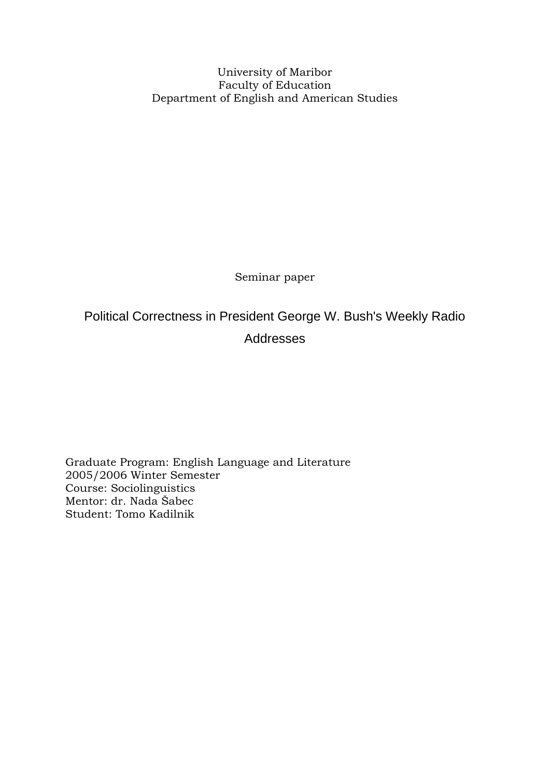University of Maribor Faculty of Education Department of English and American Studies

Seminar paper

# Political Correctness in President George W. Bush's Weekly Radio Addresses

Graduate Program: English Language and Literature 2005/2006 Winter Semester Course: Sociolinguistics Mentor: dr. Nada Šabec Student: Tomo Kadilnik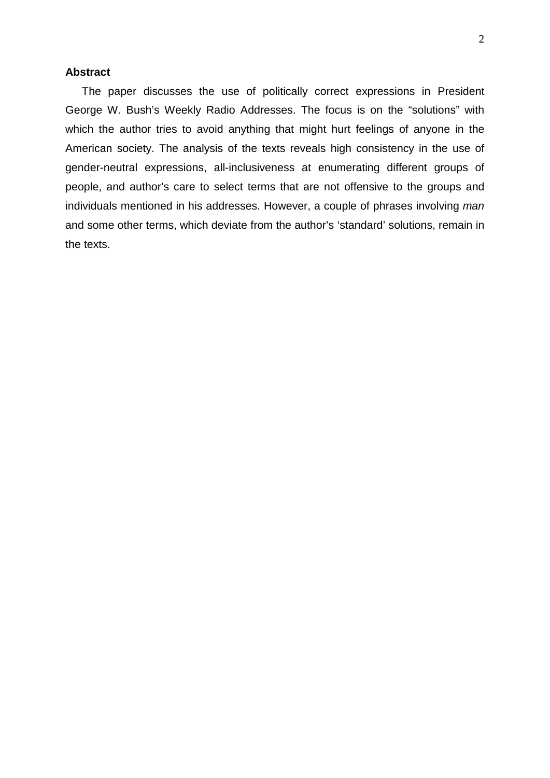#### <span id="page-1-0"></span>**Abstract**

The paper discusses the use of politically correct expressions in President George W. Bush's Weekly Radio Addresses. The focus is on the "solutions" with which the author tries to avoid anything that might hurt feelings of anyone in the American society. The analysis of the texts reveals high consistency in the use of gender-neutral expressions, all-inclusiveness at enumerating different groups of people, and author's care to select terms that are not offensive to the groups and individuals mentioned in his addresses. However, a couple of phrases involving *man* and some other terms, which deviate from the author's 'standard' solutions, remain in the texts.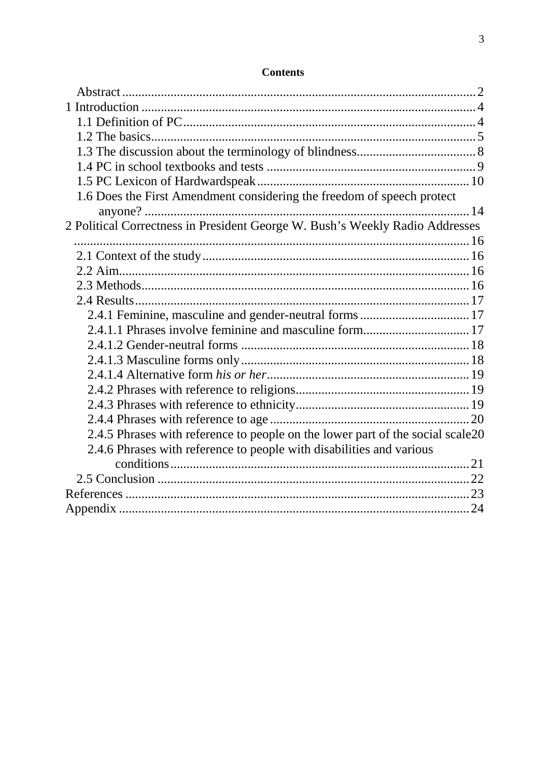| 1.6 Does the First Amendment considering the freedom of speech protect         |  |
|--------------------------------------------------------------------------------|--|
|                                                                                |  |
| 2 Political Correctness in President George W. Bush's Weekly Radio Addresses   |  |
|                                                                                |  |
|                                                                                |  |
|                                                                                |  |
|                                                                                |  |
|                                                                                |  |
|                                                                                |  |
| 2.4.1.1 Phrases involve feminine and masculine form 17                         |  |
|                                                                                |  |
|                                                                                |  |
|                                                                                |  |
|                                                                                |  |
|                                                                                |  |
|                                                                                |  |
| 2.4.5 Phrases with reference to people on the lower part of the social scale20 |  |
| 2.4.6 Phrases with reference to people with disabilities and various           |  |
|                                                                                |  |
|                                                                                |  |
|                                                                                |  |
|                                                                                |  |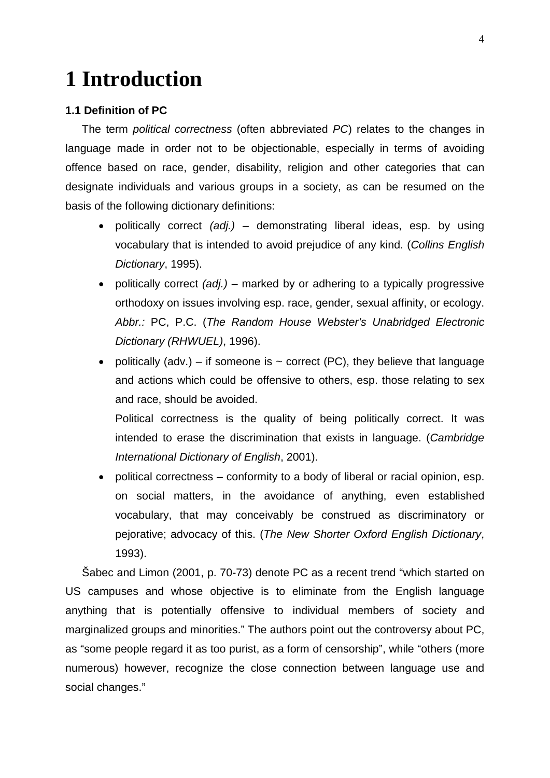# <span id="page-3-0"></span>**1 Introduction**

#### <span id="page-3-1"></span>**1.1 Definition of PC**

The term *political correctness* (often abbreviated *PC*) relates to the changes in language made in order not to be objectionable, especially in terms of avoiding offence based on race, gender, disability, religion and other categories that can designate individuals and various groups in a society, as can be resumed on the basis of the following dictionary definitions:

- politically correct *(adj.) –* demonstrating liberal ideas, esp. by using vocabulary that is intended to avoid prejudice of any kind. (*Collins English Dictionary*, 1995).
- politically correct *(adj.)* marked by or adhering to a typically progressive orthodoxy on issues involving esp. race, gender, sexual affinity, or ecology. *Abbr.:* PC, P.C. (*The Random House Webster's Unabridged Electronic Dictionary (RHWUEL)*, 1996).
- politically (adv.) if someone is  $\sim$  correct (PC), they believe that language and actions which could be offensive to others, esp. those relating to sex and race, should be avoided.

Political correctness is the quality of being politically correct. It was intended to erase the discrimination that exists in language. (*Cambridge International Dictionary of English*, 2001).

• political correctness – conformity to a body of liberal or racial opinion, esp. on social matters, in the avoidance of anything, even established vocabulary, that may conceivably be construed as discriminatory or pejorative; advocacy of this. (*The New Shorter Oxford English Dictionary*, 1993).

Šabec and Limon (2001, p. 70-73) denote PC as a recent trend "which started on US campuses and whose objective is to eliminate from the English language anything that is potentially offensive to individual members of society and marginalized groups and minorities." The authors point out the controversy about PC, as "some people regard it as too purist, as a form of censorship", while "others (more numerous) however, recognize the close connection between language use and social changes."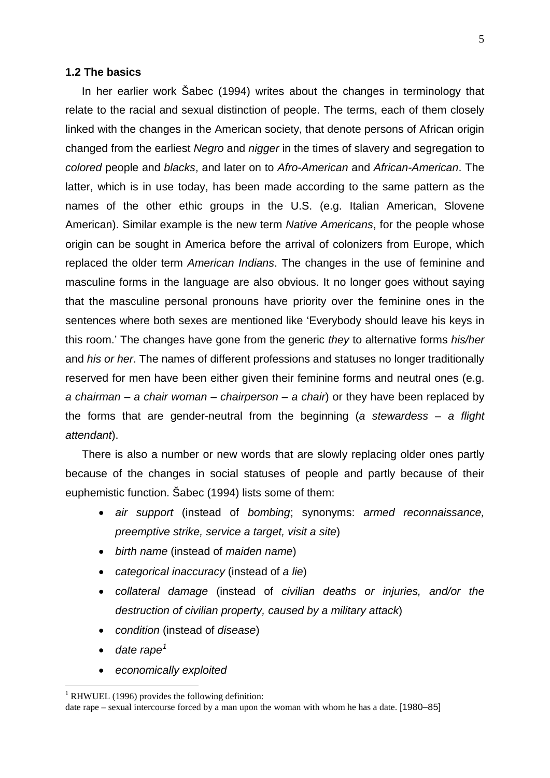#### <span id="page-4-0"></span>**1.2 The basics**

In her earlier work Šabec (1994) writes about the changes in terminology that relate to the racial and sexual distinction of people. The terms, each of them closely linked with the changes in the American society, that denote persons of African origin changed from the earliest *Negro* and *nigger* in the times of slavery and segregation to *colored* people and *blacks*, and later on to *Afro-American* and *African-American*. The latter, which is in use today, has been made according to the same pattern as the names of the other ethic groups in the U.S. (e.g. Italian American, Slovene American). Similar example is the new term *Native Americans*, for the people whose origin can be sought in America before the arrival of colonizers from Europe, which replaced the older term *American Indians*. The changes in the use of feminine and masculine forms in the language are also obvious. It no longer goes without saying that the masculine personal pronouns have priority over the feminine ones in the sentences where both sexes are mentioned like 'Everybody should leave his keys in this room.' The changes have gone from the generic *they* to alternative forms *his/her* and *his or her*. The names of different professions and statuses no longer traditionally reserved for men have been either given their feminine forms and neutral ones (e.g. *a chairman – a chair woman – chairperson – a chair*) or they have been replaced by the forms that are gender-neutral from the beginning (*a stewardess – a flight attendant*).

There is also a number or new words that are slowly replacing older ones partly because of the changes in social statuses of people and partly because of their euphemistic function. Šabec (1994) lists some of them:

- *air support* (instead of *bombing*; synonyms: *armed reconnaissance, preemptive strike, service a target, visit a site*)
- *birth name* (instead of *maiden name*)
- *categorical inaccuracy* (instead of *a lie*)
- *collateral damage* (instead of *civilian deaths or injuries, and/or the destruction of civilian property, caused by a military attack*)
- *condition* (instead of *disease*)
- *date rape[1](#page-4-1)*
- *economically exploited*

<span id="page-4-1"></span> $1$  RHWUEL (1996) provides the following definition:

date rape – sexual intercourse forced by a man upon the woman with whom he has a date. [1980–85]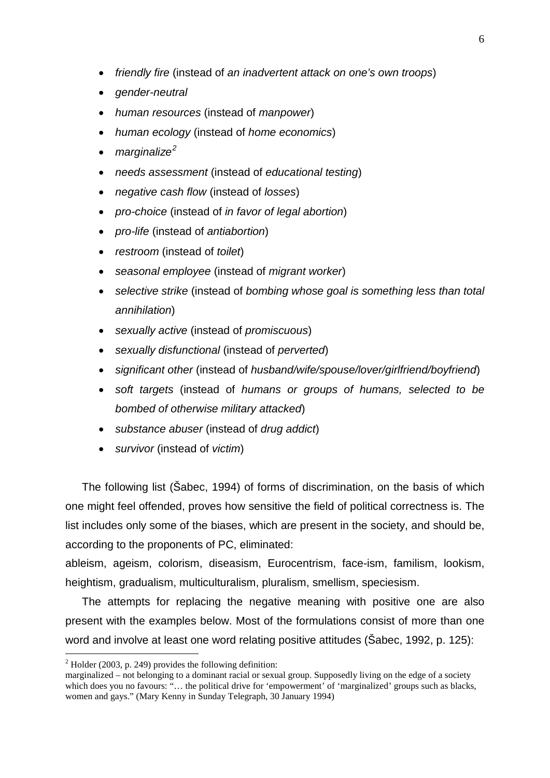- *friendly fire* (instead of *an inadvertent attack on one's own troops*)
- *gender-neutral*
- *human resources* (instead of *manpower*)
- *human ecology* (instead of *home economics*)
- *marginalize[2](#page-5-0)*
- *needs assessment* (instead of *educational testing*)
- *negative cash flow* (instead of *losses*)
- *pro-choice* (instead of *in favor of legal abortion*)
- *pro-life* (instead of *antiabortion*)
- *restroom* (instead of *toilet*)
- *seasonal employee* (instead of *migrant worker*)
- *selective strike* (instead of *bombing whose goal is something less than total annihilation*)
- *sexually active* (instead of *promiscuous*)
- *sexually disfunctional* (instead of *perverted*)
- *significant other* (instead of *husband/wife/spouse/lover/girlfriend/boyfriend*)
- *soft targets* (instead of *humans or groups of humans, selected to be bombed of otherwise military attacked*)
- *substance abuser* (instead of *drug addict*)
- *survivor* (instead of *victim*)

The following list (Šabec, 1994) of forms of discrimination, on the basis of which one might feel offended, proves how sensitive the field of political correctness is. The list includes only some of the biases, which are present in the society, and should be, according to the proponents of PC, eliminated:

ableism, ageism, colorism, diseasism, Eurocentrism, face-ism, familism, lookism, heightism, gradualism, multiculturalism, pluralism, smellism, speciesism.

The attempts for replacing the negative meaning with positive one are also present with the examples below. Most of the formulations consist of more than one word and involve at least one word relating positive attitudes (Šabec, 1992, p. 125):

<span id="page-5-0"></span> $^{2}$  Holder (2003, p. 249) provides the following definition:

marginalized – not belonging to a dominant racial or sexual group. Supposedly living on the edge of a society which does you no favours: "... the political drive for 'empowerment' of 'marginalized' groups such as blacks, women and gays." (Mary Kenny in Sunday Telegraph, 30 January 1994)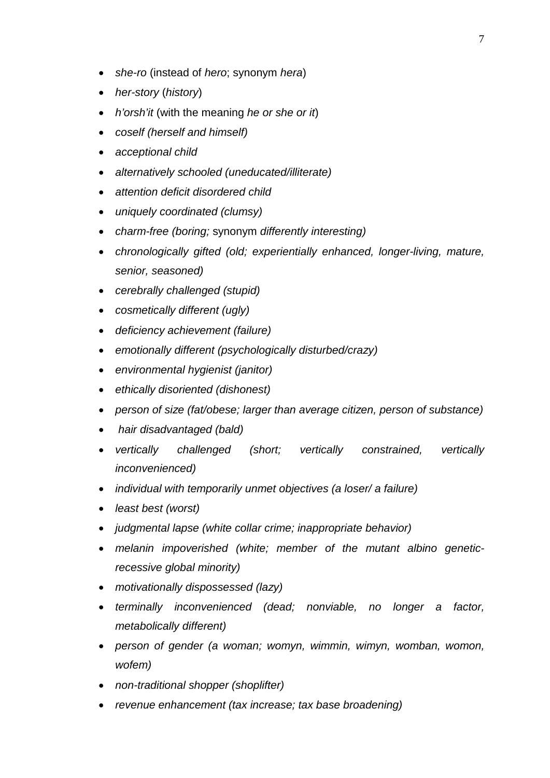- *she-ro* (instead of *hero*; synonym *hera*)
- *her-story* (*history*)
- *h'orsh'it* (with the meaning *he or she or it*)
- *coself (herself and himself)*
- *acceptional child*
- *alternatively schooled (uneducated/illiterate)*
- *attention deficit disordered child*
- *uniquely coordinated (clumsy)*
- *charm-free (boring;* synonym *differently interesting)*
- *chronologically gifted (old; experientially enhanced, longer-living, mature, senior, seasoned)*
- *cerebrally challenged (stupid)*
- *cosmetically different (ugly)*
- *deficiency achievement (failure)*
- *emotionally different (psychologically disturbed/crazy)*
- *environmental hygienist (janitor)*
- *ethically disoriented (dishonest)*
- *person of size (fat/obese; larger than average citizen, person of substance)*
- *hair disadvantaged (bald)*
- *vertically challenged (short; vertically constrained, vertically inconvenienced)*
- *individual with temporarily unmet objectives (a loser/ a failure)*
- *least best (worst)*
- *judgmental lapse (white collar crime; inappropriate behavior)*
- *melanin impoverished (white; member of the mutant albino geneticrecessive global minority)*
- *motivationally dispossessed (lazy)*
- *terminally inconvenienced (dead; nonviable, no longer a factor, metabolically different)*
- *person of gender (a woman; womyn, wimmin, wimyn, womban, womon, wofem)*
- *non-traditional shopper (shoplifter)*
- *revenue enhancement (tax increase; tax base broadening)*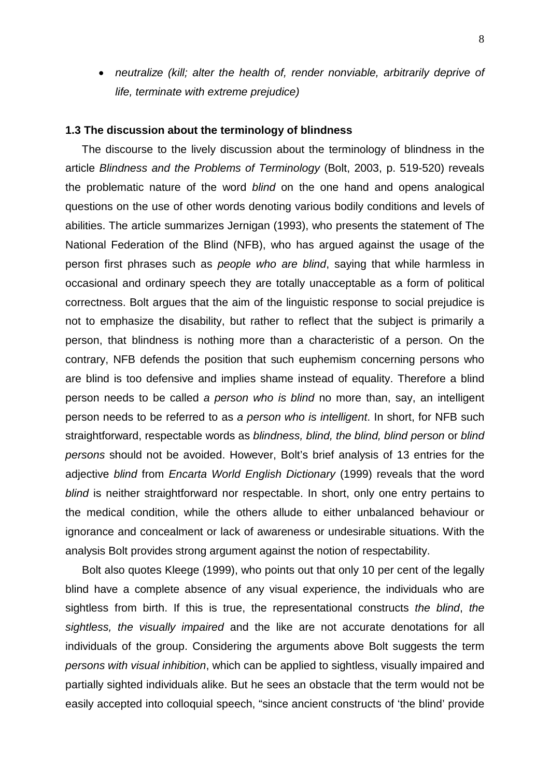• *neutralize (kill; alter the health of, render nonviable, arbitrarily deprive of life, terminate with extreme prejudice)* 

#### <span id="page-7-0"></span>**1.3 The discussion about the terminology of blindness**

The discourse to the lively discussion about the terminology of blindness in the article *Blindness and the Problems of Terminology* (Bolt, 2003, p. 519-520) reveals the problematic nature of the word *blind* on the one hand and opens analogical questions on the use of other words denoting various bodily conditions and levels of abilities. The article summarizes Jernigan (1993), who presents the statement of The National Federation of the Blind (NFB), who has argued against the usage of the person first phrases such as *people who are blind*, saying that while harmless in occasional and ordinary speech they are totally unacceptable as a form of political correctness. Bolt argues that the aim of the linguistic response to social prejudice is not to emphasize the disability, but rather to reflect that the subject is primarily a person, that blindness is nothing more than a characteristic of a person. On the contrary, NFB defends the position that such euphemism concerning persons who are blind is too defensive and implies shame instead of equality. Therefore a blind person needs to be called *a person who is blind* no more than, say, an intelligent person needs to be referred to as *a person who is intelligent*. In short, for NFB such straightforward, respectable words as *blindness, blind, the blind, blind person* or *blind persons* should not be avoided. However, Bolt's brief analysis of 13 entries for the adjective *blind* from *Encarta World English Dictionary* (1999) reveals that the word *blind* is neither straightforward nor respectable. In short, only one entry pertains to the medical condition, while the others allude to either unbalanced behaviour or ignorance and concealment or lack of awareness or undesirable situations. With the analysis Bolt provides strong argument against the notion of respectability.

Bolt also quotes Kleege (1999), who points out that only 10 per cent of the legally blind have a complete absence of any visual experience, the individuals who are sightless from birth. If this is true, the representational constructs *the blind*, *the sightless, the visually impaired* and the like are not accurate denotations for all individuals of the group. Considering the arguments above Bolt suggests the term *persons with visual inhibition*, which can be applied to sightless, visually impaired and partially sighted individuals alike. But he sees an obstacle that the term would not be easily accepted into colloquial speech, "since ancient constructs of 'the blind' provide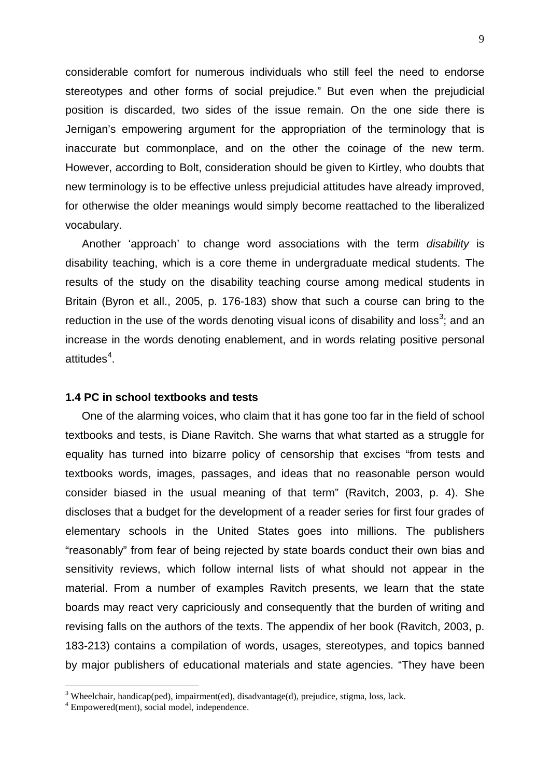considerable comfort for numerous individuals who still feel the need to endorse stereotypes and other forms of social prejudice." But even when the prejudicial position is discarded, two sides of the issue remain. On the one side there is Jernigan's empowering argument for the appropriation of the terminology that is inaccurate but commonplace, and on the other the coinage of the new term. However, according to Bolt, consideration should be given to Kirtley, who doubts that new terminology is to be effective unless prejudicial attitudes have already improved, for otherwise the older meanings would simply become reattached to the liberalized vocabulary.

Another 'approach' to change word associations with the term *disability* is disability teaching, which is a core theme in undergraduate medical students. The results of the study on the disability teaching course among medical students in Britain (Byron et all., 2005, p. 176-183) show that such a course can bring to the reduction in the use of the words denoting visual icons of disability and loss<sup>[3](#page-8-1)</sup>; and an increase in the words denoting enablement, and in words relating positive personal attitudes $4$ .

#### <span id="page-8-0"></span>**1.4 PC in school textbooks and tests**

One of the alarming voices, who claim that it has gone too far in the field of school textbooks and tests, is Diane Ravitch. She warns that what started as a struggle for equality has turned into bizarre policy of censorship that excises "from tests and textbooks words, images, passages, and ideas that no reasonable person would consider biased in the usual meaning of that term" (Ravitch, 2003, p. 4). She discloses that a budget for the development of a reader series for first four grades of elementary schools in the United States goes into millions. The publishers "reasonably" from fear of being rejected by state boards conduct their own bias and sensitivity reviews, which follow internal lists of what should not appear in the material. From a number of examples Ravitch presents, we learn that the state boards may react very capriciously and consequently that the burden of writing and revising falls on the authors of the texts. The appendix of her book (Ravitch, 2003, p. 183-213) contains a compilation of words, usages, stereotypes, and topics banned by major publishers of educational materials and state agencies. "They have been

<span id="page-8-1"></span> $3$  Wheelchair, handicap(ped), impairment(ed), disadvantage(d), prejudice, stigma, loss, lack.

<span id="page-8-2"></span><sup>4</sup> Empowered(ment), social model, independence.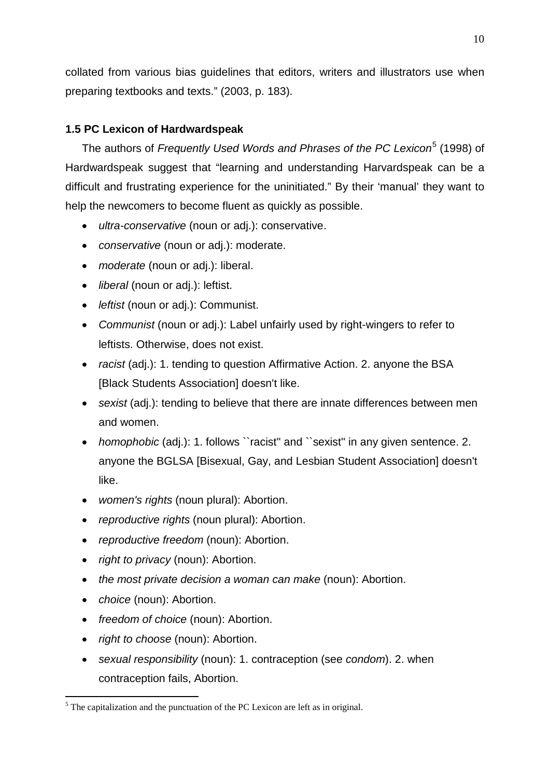collated from various bias guidelines that editors, writers and illustrators use when preparing textbooks and texts." (2003, p. 183).

# <span id="page-9-0"></span>**1.5 PC Lexicon of Hardwardspeak**

The authors of *Frequently Used Words and Phrases of the PC Lexicon*[5](#page-9-1) (1998) of Hardwardspeak suggest that "learning and understanding Harvardspeak can be a difficult and frustrating experience for the uninitiated." By their 'manual' they want to help the newcomers to become fluent as quickly as possible.

- *ultra-conservative* (noun or adj.): conservative.
- *conservative* (noun or adj.): moderate.
- *moderate* (noun or adj.): liberal.
- *liberal* (noun or adj.): leftist.
- *leftist* (noun or adj.): Communist.
- *Communist* (noun or adj.): Label unfairly used by right-wingers to refer to leftists. Otherwise, does not exist.
- *racist* (adj.): 1. tending to question Affirmative Action. 2. anyone the BSA [Black Students Association] doesn't like.
- *sexist* (adj.): tending to believe that there are innate differences between men and women.
- *homophobic* (adj.): 1. follows ``racist'' and ``sexist'' in any given sentence. 2. anyone the BGLSA [Bisexual, Gay, and Lesbian Student Association] doesn't like.
- *women's rights* (noun plural): Abortion.
- *reproductive rights* (noun plural): Abortion.
- *reproductive freedom* (noun): Abortion.
- *right to privacy* (noun): Abortion.
- *the most private decision a woman can make* (noun): Abortion.
- *choice* (noun): Abortion.
- *freedom of choice* (noun): Abortion.
- *right to choose* (noun): Abortion.
- *sexual responsibility* (noun): 1. contraception (see *condom*). 2. when contraception fails, Abortion.

<span id="page-9-1"></span> $<sup>5</sup>$  The capitalization and the punctuation of the PC Lexicon are left as in original.</sup>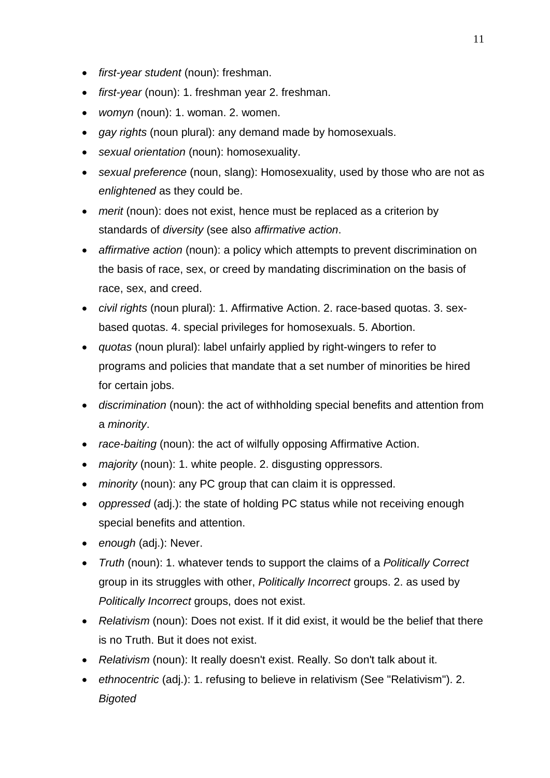- *first-year student* (noun): freshman.
- *first-year* (noun): 1. freshman year 2. freshman.
- *womyn* (noun): 1. woman. 2. women.
- *gay rights* (noun plural): any demand made by homosexuals.
- *sexual orientation* (noun): homosexuality.
- *sexual preference* (noun, slang): Homosexuality, used by those who are not as *enlightened* as they could be.
- *merit* (noun): does not exist, hence must be replaced as a criterion by standards of *diversity* (see also *affirmative action*.
- *affirmative action* (noun): a policy which attempts to prevent discrimination on the basis of race, sex, or creed by mandating discrimination on the basis of race, sex, and creed.
- *civil rights* (noun plural): 1. Affirmative Action. 2. race-based quotas. 3. sexbased quotas. 4. special privileges for homosexuals. 5. Abortion.
- *quotas* (noun plural): label unfairly applied by right-wingers to refer to programs and policies that mandate that a set number of minorities be hired for certain jobs.
- *discrimination* (noun): the act of withholding special benefits and attention from a *minority*.
- *race-baiting* (noun): the act of wilfully opposing Affirmative Action.
- *majority* (noun): 1. white people. 2. disgusting oppressors.
- *minority* (noun): any PC group that can claim it is oppressed.
- *oppressed* (adj.): the state of holding PC status while not receiving enough special benefits and attention.
- *enough* (adj.): Never.
- *Truth* (noun): 1. whatever tends to support the claims of a *Politically Correct* group in its struggles with other, *Politically Incorrect* groups. 2. as used by *Politically Incorrect* groups, does not exist.
- *Relativism* (noun): Does not exist. If it did exist, it would be the belief that there is no Truth. But it does not exist.
- *Relativism* (noun): It really doesn't exist. Really. So don't talk about it.
- *ethnocentric* (adj.): 1. refusing to believe in relativism (See "Relativism"). 2. *Bigoted*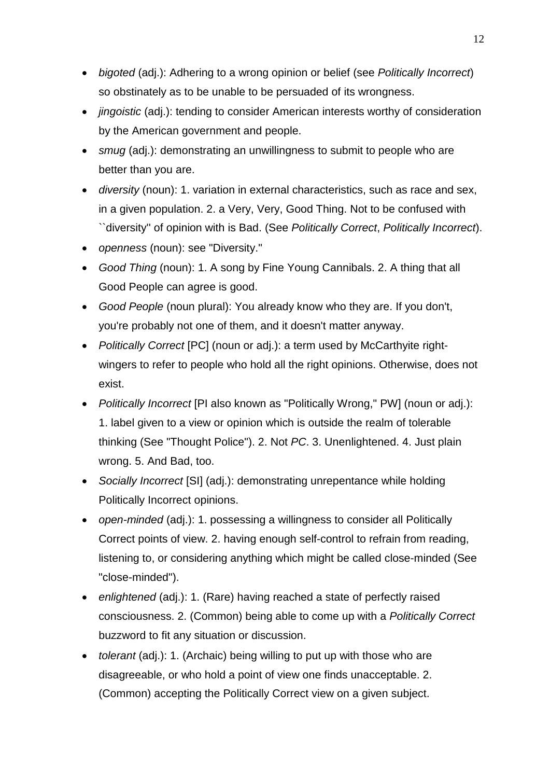- *bigoted* (adj.): Adhering to a wrong opinion or belief (see *Politically Incorrect*) so obstinately as to be unable to be persuaded of its wrongness.
- *jingoistic* (adj.): tending to consider American interests worthy of consideration by the American government and people.
- *smug* (adj.): demonstrating an unwillingness to submit to people who are better than you are.
- *diversity* (noun): 1. variation in external characteristics, such as race and sex, in a given population. 2. a Very, Very, Good Thing. Not to be confused with ``diversity'' of opinion with is Bad. (See *Politically Correct*, *Politically Incorrect*).
- *openness* (noun): see "Diversity."
- *Good Thing* (noun): 1. A song by Fine Young Cannibals. 2. A thing that all Good People can agree is good.
- *Good People* (noun plural): You already know who they are. If you don't, you're probably not one of them, and it doesn't matter anyway.
- *Politically Correct* [PC] (noun or adj.): a term used by McCarthyite rightwingers to refer to people who hold all the right opinions. Otherwise, does not exist.
- *Politically Incorrect* [PI also known as "Politically Wrong," PW] (noun or adj.): 1. label given to a view or opinion which is outside the realm of tolerable thinking (See "Thought Police"). 2. Not *PC*. 3. Unenlightened. 4. Just plain wrong. 5. And Bad, too.
- *Socially Incorrect* [SI] (adj.): demonstrating unrepentance while holding Politically Incorrect opinions.
- *open-minded* (adj.): 1. possessing a willingness to consider all Politically Correct points of view. 2. having enough self-control to refrain from reading, listening to, or considering anything which might be called close-minded (See "close-minded").
- *enlightened* (adj.): 1. (Rare) having reached a state of perfectly raised consciousness. 2. (Common) being able to come up with a *Politically Correct* buzzword to fit any situation or discussion.
- *tolerant* (adj.): 1. (Archaic) being willing to put up with those who are disagreeable, or who hold a point of view one finds unacceptable. 2. (Common) accepting the Politically Correct view on a given subject.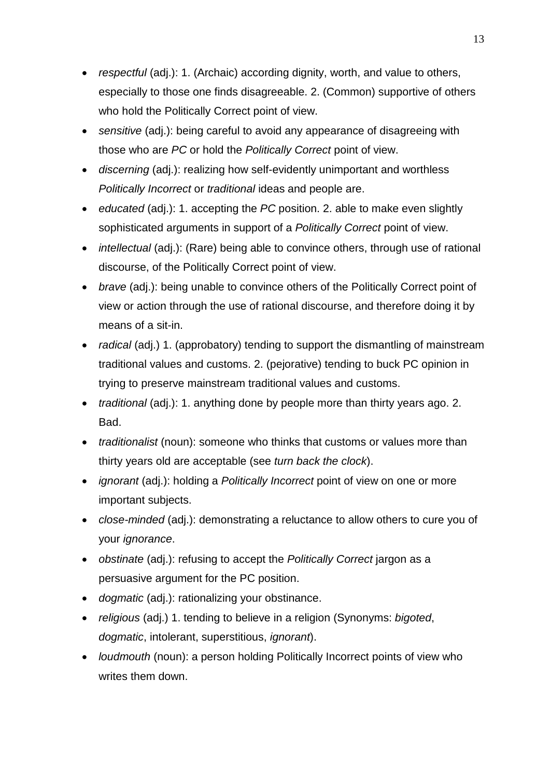- *respectful* (adj.): 1. (Archaic) according dignity, worth, and value to others, especially to those one finds disagreeable. 2. (Common) supportive of others who hold the Politically Correct point of view.
- *sensitive* (adj.): being careful to avoid any appearance of disagreeing with those who are *PC* or hold the *Politically Correct* point of view.
- *discerning* (adj.): realizing how self-evidently unimportant and worthless *Politically Incorrect* or *traditional* ideas and people are.
- *educated* (adj.): 1. accepting the *PC* position. 2. able to make even slightly sophisticated arguments in support of a *Politically Correct* point of view.
- *intellectual* (adj.): (Rare) being able to convince others, through use of rational discourse, of the Politically Correct point of view.
- *brave* (adj.): being unable to convince others of the Politically Correct point of view or action through the use of rational discourse, and therefore doing it by means of a sit-in.
- *radical* (adj.) 1. (approbatory) tending to support the dismantling of mainstream traditional values and customs. 2. (pejorative) tending to buck PC opinion in trying to preserve mainstream traditional values and customs.
- *traditional* (adj.): 1. anything done by people more than thirty years ago. 2. Bad.
- *traditionalist* (noun): someone who thinks that customs or values more than thirty years old are acceptable (see *turn back the clock*).
- *ignorant* (adj.): holding a *Politically Incorrect* point of view on one or more important subjects.
- *close-minded* (adj.): demonstrating a reluctance to allow others to cure you of your *ignorance*.
- *obstinate* (adj.): refusing to accept the *Politically Correct* jargon as a persuasive argument for the PC position.
- *dogmatic* (adj.): rationalizing your obstinance.
- *religious* (adj.) 1. tending to believe in a religion (Synonyms: *bigoted*, *dogmatic*, intolerant, superstitious, *ignorant*).
- *loudmouth* (noun): a person holding Politically Incorrect points of view who writes them down.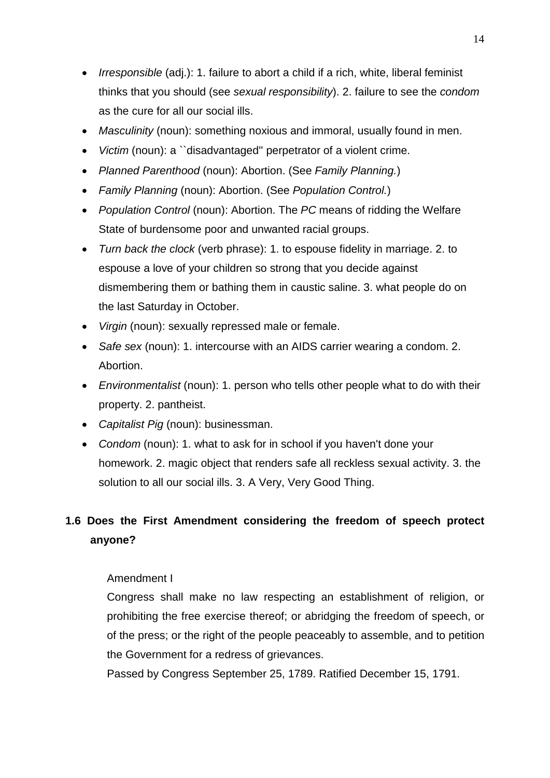- *Irresponsible* (adj.): 1. failure to abort a child if a rich, white, liberal feminist thinks that you should (see *sexual responsibility*). 2. failure to see the *condom* as the cure for all our social ills.
- *Masculinity* (noun): something noxious and immoral, usually found in men.
- *Victim* (noun): a ``disadvantaged'' perpetrator of a violent crime.
- *Planned Parenthood* (noun): Abortion. (See *Family Planning.*)
- *Family Planning* (noun): Abortion. (See *Population Control.*)
- *Population Control* (noun): Abortion. The *PC* means of ridding the Welfare State of burdensome poor and unwanted racial groups.
- *Turn back the clock* (verb phrase): 1. to espouse fidelity in marriage. 2. to espouse a love of your children so strong that you decide against dismembering them or bathing them in caustic saline. 3. what people do on the last Saturday in October.
- *Virgin* (noun): sexually repressed male or female.
- *Safe sex* (noun): 1. intercourse with an AIDS carrier wearing a condom. 2. Abortion.
- *Environmentalist* (noun): 1. person who tells other people what to do with their property. 2. pantheist.
- *Capitalist Pig* (noun): businessman.
- *Condom* (noun): 1. what to ask for in school if you haven't done your homework. 2. magic object that renders safe all reckless sexual activity. 3. the solution to all our social ills. 3. A Very, Very Good Thing.

# <span id="page-13-0"></span>**1.6 Does the First Amendment considering the freedom of speech protect anyone?**

#### Amendment I

Congress shall make no law respecting an establishment of religion, or prohibiting the free exercise thereof; or abridging the freedom of speech, or of the press; or the right of the people peaceably to assemble, and to petition the Government for a redress of grievances.

Passed by Congress September 25, 1789. Ratified December 15, 1791.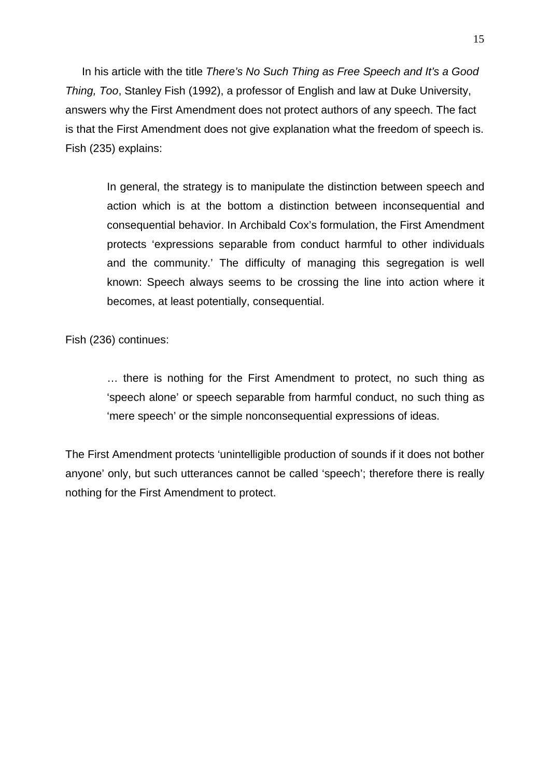In his article with the title *There's No Such Thing as Free Speech and It's a Good Thing, Too*, Stanley Fish (1992), a professor of English and law at Duke University, answers why the First Amendment does not protect authors of any speech. The fact is that the First Amendment does not give explanation what the freedom of speech is. Fish (235) explains:

In general, the strategy is to manipulate the distinction between speech and action which is at the bottom a distinction between inconsequential and consequential behavior. In Archibald Cox's formulation, the First Amendment protects 'expressions separable from conduct harmful to other individuals and the community.' The difficulty of managing this segregation is well known: Speech always seems to be crossing the line into action where it becomes, at least potentially, consequential.

Fish (236) continues:

… there is nothing for the First Amendment to protect, no such thing as 'speech alone' or speech separable from harmful conduct, no such thing as 'mere speech' or the simple nonconsequential expressions of ideas.

The First Amendment protects 'unintelligible production of sounds if it does not bother anyone' only, but such utterances cannot be called 'speech'; therefore there is really nothing for the First Amendment to protect.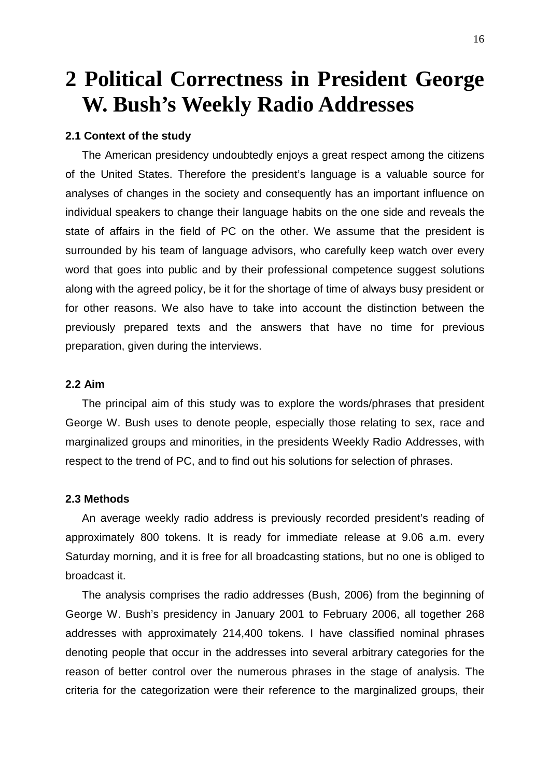# <span id="page-15-0"></span>**2 Political Correctness in President George W. Bush's Weekly Radio Addresses**

#### <span id="page-15-1"></span>**2.1 Context of the study**

The American presidency undoubtedly enjoys a great respect among the citizens of the United States. Therefore the president's language is a valuable source for analyses of changes in the society and consequently has an important influence on individual speakers to change their language habits on the one side and reveals the state of affairs in the field of PC on the other. We assume that the president is surrounded by his team of language advisors, who carefully keep watch over every word that goes into public and by their professional competence suggest solutions along with the agreed policy, be it for the shortage of time of always busy president or for other reasons. We also have to take into account the distinction between the previously prepared texts and the answers that have no time for previous preparation, given during the interviews.

#### <span id="page-15-2"></span>**2.2 Aim**

The principal aim of this study was to explore the words/phrases that president George W. Bush uses to denote people, especially those relating to sex, race and marginalized groups and minorities, in the presidents Weekly Radio Addresses, with respect to the trend of PC, and to find out his solutions for selection of phrases.

#### <span id="page-15-3"></span>**2.3 Methods**

An average weekly radio address is previously recorded president's reading of approximately 800 tokens. It is ready for immediate release at 9.06 a.m. every Saturday morning, and it is free for all broadcasting stations, but no one is obliged to broadcast it.

The analysis comprises the radio addresses (Bush, 2006) from the beginning of George W. Bush's presidency in January 2001 to February 2006, all together 268 addresses with approximately 214,400 tokens. I have classified nominal phrases denoting people that occur in the addresses into several arbitrary categories for the reason of better control over the numerous phrases in the stage of analysis. The criteria for the categorization were their reference to the marginalized groups, their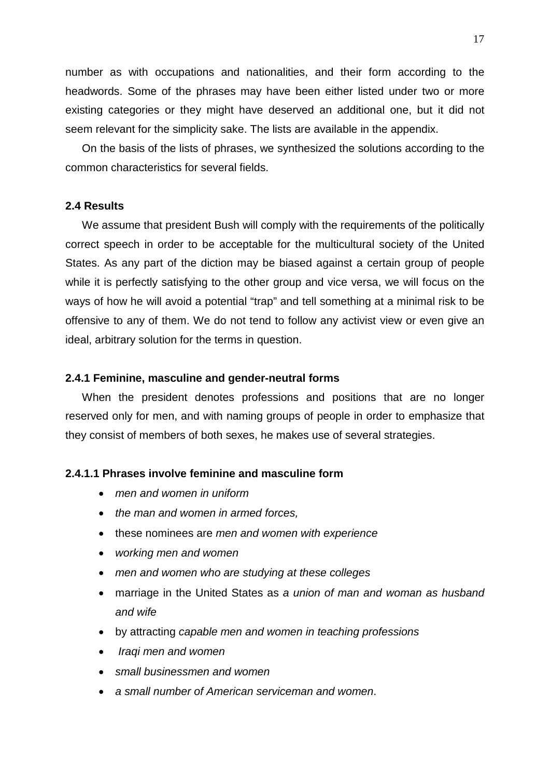number as with occupations and nationalities, and their form according to the headwords. Some of the phrases may have been either listed under two or more existing categories or they might have deserved an additional one, but it did not seem relevant for the simplicity sake. The lists are available in the appendix.

On the basis of the lists of phrases, we synthesized the solutions according to the common characteristics for several fields.

#### <span id="page-16-0"></span>**2.4 Results**

We assume that president Bush will comply with the requirements of the politically correct speech in order to be acceptable for the multicultural society of the United States. As any part of the diction may be biased against a certain group of people while it is perfectly satisfying to the other group and vice versa, we will focus on the ways of how he will avoid a potential "trap" and tell something at a minimal risk to be offensive to any of them. We do not tend to follow any activist view or even give an ideal, arbitrary solution for the terms in question.

#### <span id="page-16-1"></span>**2.4.1 Feminine, masculine and gender-neutral forms**

When the president denotes professions and positions that are no longer reserved only for men, and with naming groups of people in order to emphasize that they consist of members of both sexes, he makes use of several strategies.

#### <span id="page-16-2"></span>**2.4.1.1 Phrases involve feminine and masculine form**

- *men and women in uniform*
- *the man and women in armed forces,*
- these nominees are *men and women with experience*
- *working men and women*
- *men and women who are studying at these colleges*
- marriage in the United States as *a union of man and woman as husband and wife*
- by attracting *capable men and women in teaching professions*
- *Iraqi men and women*
- *small businessmen and women*
- *a small number of American serviceman and women*.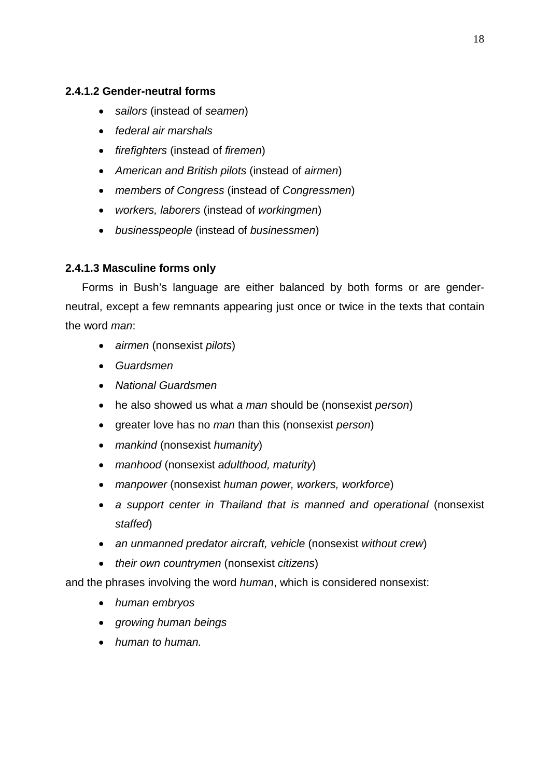## <span id="page-17-0"></span>**2.4.1.2 Gender-neutral forms**

- *sailors* (instead of *seamen*)
- *federal air marshals*
- *firefighters* (instead of *firemen*)
- *American and British pilots* (instead of *airmen*)
- *members of Congress* (instead of *Congressmen*)
- *workers, laborers* (instead of *workingmen*)
- *businesspeople* (instead of *businessmen*)

## <span id="page-17-1"></span>**2.4.1.3 Masculine forms only**

Forms in Bush's language are either balanced by both forms or are genderneutral, except a few remnants appearing just once or twice in the texts that contain the word *man*:

- *airmen* (nonsexist *pilots*)
- *Guardsmen*
- *National Guardsmen*
- he also showed us what *a man* should be (nonsexist *person*)
- greater love has no *man* than this (nonsexist *person*)
- *mankind* (nonsexist *humanity*)
- *manhood* (nonsexist *adulthood, maturity*)
- *manpower* (nonsexist *human power, workers, workforce*)
- *a support center in Thailand that is manned and operational (nonsexist staffed*)
- *an unmanned predator aircraft, vehicle* (nonsexist *without crew*)
- *their own countrymen* (nonsexist *citizens*)

and the phrases involving the word *human*, which is considered nonsexist:

- *human embryos*
- *growing human beings*
- *human to human.*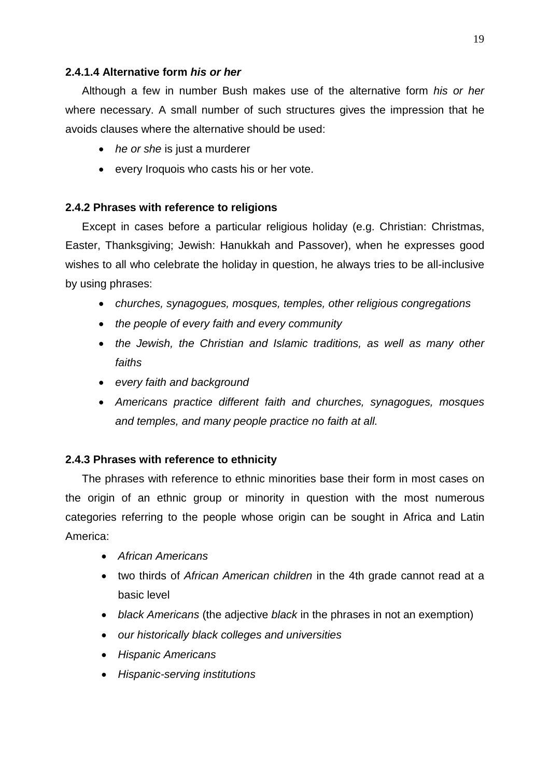### <span id="page-18-0"></span>**2.4.1.4 Alternative form** *his or her*

Although a few in number Bush makes use of the alternative form *his or her* where necessary. A small number of such structures gives the impression that he avoids clauses where the alternative should be used:

- *he or she* is just a murderer
- every Iroquois who casts his or her vote.

## <span id="page-18-1"></span>**2.4.2 Phrases with reference to religions**

Except in cases before a particular religious holiday (e.g. Christian: Christmas, Easter, Thanksgiving; Jewish: Hanukkah and Passover), when he expresses good wishes to all who celebrate the holiday in question, he always tries to be all-inclusive by using phrases:

- *churches, synagogues, mosques, temples, other religious congregations*
- *the people of every faith and every community*
- *the Jewish, the Christian and Islamic traditions, as well as many other faiths*
- *every faith and background*
- *Americans practice different faith and churches, synagogues, mosques and temples, and many people practice no faith at all.*

## <span id="page-18-2"></span>**2.4.3 Phrases with reference to ethnicity**

The phrases with reference to ethnic minorities base their form in most cases on the origin of an ethnic group or minority in question with the most numerous categories referring to the people whose origin can be sought in Africa and Latin America:

- *African Americans*
- two thirds of *African American children* in the 4th grade cannot read at a basic level
- *black Americans* (the adjective *black* in the phrases in not an exemption)
- *our historically black colleges and universities*
- *Hispanic Americans*
- *Hispanic-serving institutions*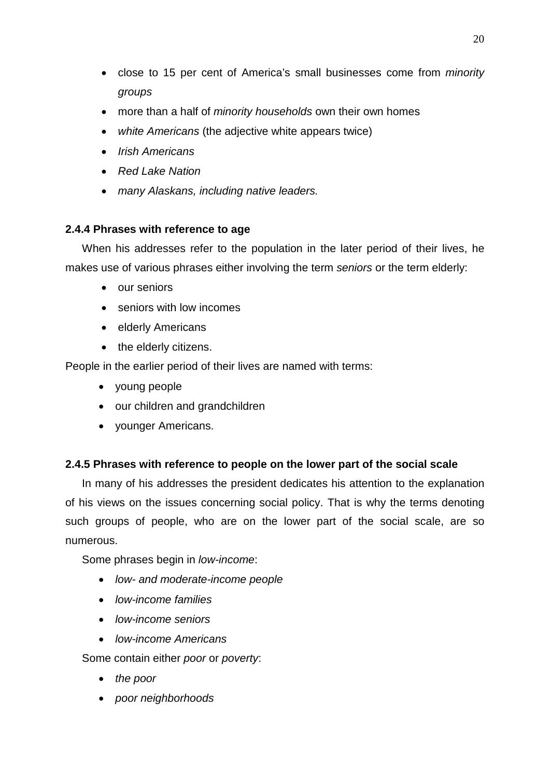- close to 15 per cent of America's small businesses come from *minority groups*
- more than a half of *minority households* own their own homes
- *white Americans* (the adjective white appears twice)
- *Irish Americans*
- *Red Lake Nation*
- *many Alaskans, including native leaders.*

# <span id="page-19-0"></span>**2.4.4 Phrases with reference to age**

When his addresses refer to the population in the later period of their lives, he makes use of various phrases either involving the term *seniors* or the term elderly:

- our seniors
- seniors with low incomes
- elderly Americans
- the elderly citizens.

People in the earlier period of their lives are named with terms:

- young people
- our children and grandchildren
- younger Americans.

# <span id="page-19-1"></span>**2.4.5 Phrases with reference to people on the lower part of the social scale**

In many of his addresses the president dedicates his attention to the explanation of his views on the issues concerning social policy. That is why the terms denoting such groups of people, who are on the lower part of the social scale, are so numerous.

Some phrases begin in *low-income*:

- *low- and moderate-income people*
- *low-income families*
- *low-income seniors*
- *low-income Americans*

Some contain either *poor* or *poverty*:

- *the poor*
- *poor neighborhoods*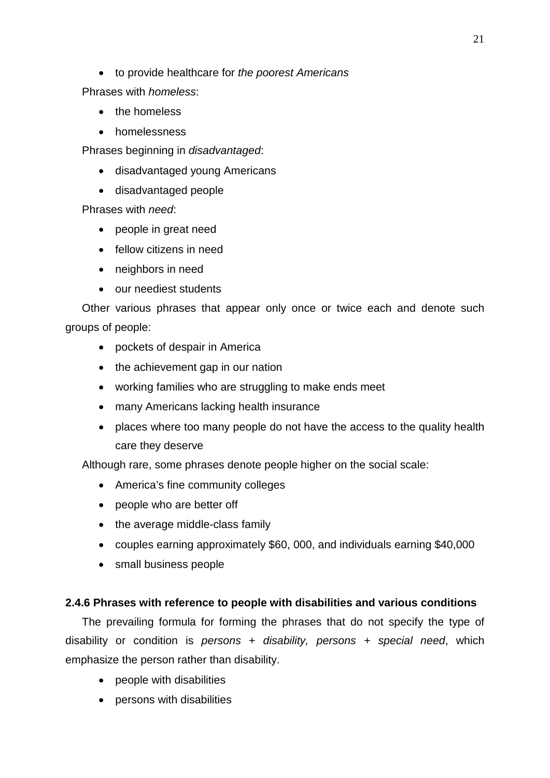• to provide healthcare for *the poorest Americans*

Phrases with *homeless*:

- the homeless
- homelessness

Phrases beginning in *disadvantaged*:

- disadvantaged young Americans
- disadvantaged people

Phrases with *need*:

- people in great need
- fellow citizens in need
- neighbors in need
- our neediest students

Other various phrases that appear only once or twice each and denote such groups of people:

- pockets of despair in America
- the achievement gap in our nation
- working families who are struggling to make ends meet
- many Americans lacking health insurance
- places where too many people do not have the access to the quality health care they deserve

Although rare, some phrases denote people higher on the social scale:

- America's fine community colleges
- people who are better off
- the average middle-class family
- couples earning approximately \$60, 000, and individuals earning \$40,000
- small business people

#### <span id="page-20-0"></span>**2.4.6 Phrases with reference to people with disabilities and various conditions**

The prevailing formula for forming the phrases that do not specify the type of disability or condition is *persons + disability, persons + special need*, which emphasize the person rather than disability.

- people with disabilities
- persons with disabilities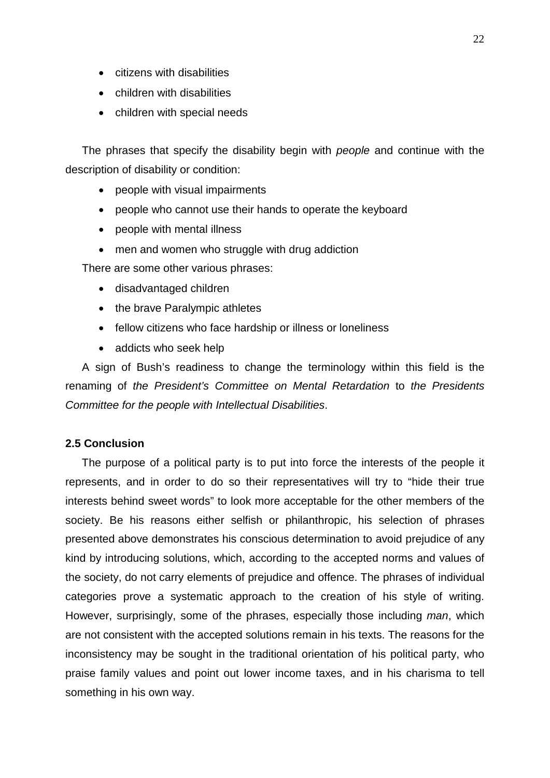- citizens with disabilities
- children with disabilities
- children with special needs

The phrases that specify the disability begin with *people* and continue with the description of disability or condition:

- people with visual impairments
- people who cannot use their hands to operate the keyboard
- people with mental illness
- men and women who struggle with drug addiction

There are some other various phrases:

- disadvantaged children
- the brave Paralympic athletes
- fellow citizens who face hardship or illness or loneliness
- addicts who seek help

A sign of Bush's readiness to change the terminology within this field is the renaming of *the President's Committee on Mental Retardation* to *the Presidents Committee for the people with Intellectual Disabilities*.

#### <span id="page-21-0"></span>**2.5 Conclusion**

The purpose of a political party is to put into force the interests of the people it represents, and in order to do so their representatives will try to "hide their true interests behind sweet words" to look more acceptable for the other members of the society. Be his reasons either selfish or philanthropic, his selection of phrases presented above demonstrates his conscious determination to avoid prejudice of any kind by introducing solutions, which, according to the accepted norms and values of the society, do not carry elements of prejudice and offence. The phrases of individual categories prove a systematic approach to the creation of his style of writing. However, surprisingly, some of the phrases, especially those including *man*, which are not consistent with the accepted solutions remain in his texts. The reasons for the inconsistency may be sought in the traditional orientation of his political party, who praise family values and point out lower income taxes, and in his charisma to tell something in his own way.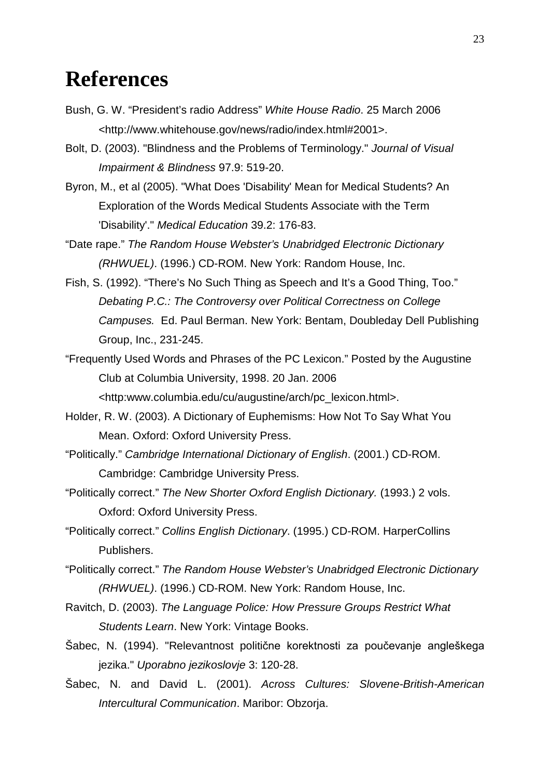# <span id="page-22-0"></span>**References**

- Bush, G. W. "President's radio Address" *White House Radio*. 25 March 2006 <http://www.whitehouse.gov/news/radio/index.html#2001>.
- Bolt, D. (2003). "Blindness and the Problems of Terminology." *Journal of Visual Impairment & Blindness* 97.9: 519-20.
- Byron, M., et al (2005). "What Does 'Disability' Mean for Medical Students? An Exploration of the Words Medical Students Associate with the Term 'Disability'." *Medical Education* 39.2: 176-83.
- "Date rape." *The Random House Webster's Unabridged Electronic Dictionary (RHWUEL)*. (1996.) CD-ROM. New York: Random House, Inc.
- Fish, S. (1992). "There's No Such Thing as Speech and It's a Good Thing, Too." *Debating P.C.: The Controversy over Political Correctness on College Campuses.* Ed. Paul Berman. New York: Bentam, Doubleday Dell Publishing Group, Inc., 231-245.
- "Frequently Used Words and Phrases of the PC Lexicon." Posted by the Augustine Club at Columbia University, 1998. 20 Jan. 2006 <http:www.columbia.edu/cu/augustine/arch/pc\_lexicon.html>.
- Holder, R. W. (2003). A Dictionary of Euphemisms: How Not To Say What You Mean. Oxford: Oxford University Press.
- "Politically." *Cambridge International Dictionary of English*. (2001.) CD-ROM. Cambridge: Cambridge University Press.
- "Politically correct." *The New Shorter Oxford English Dictionary.* (1993.) 2 vols. Oxford: Oxford University Press.
- "Politically correct." *Collins English Dictionary*. (1995.) CD-ROM. HarperCollins Publishers.
- "Politically correct." *The Random House Webster's Unabridged Electronic Dictionary (RHWUEL)*. (1996.) CD-ROM. New York: Random House, Inc.
- Ravitch, D. (2003). *The Language Police: How Pressure Groups Restrict What Students Learn*. New York: Vintage Books.
- Šabec, N. (1994). "Relevantnost politične korektnosti za poučevanje angleškega jezika." *Uporabno jezikoslovje* 3: 120-28.
- Šabec, N. and David L. (2001). *Across Cultures: Slovene-British-American Intercultural Communication*. Maribor: Obzorja.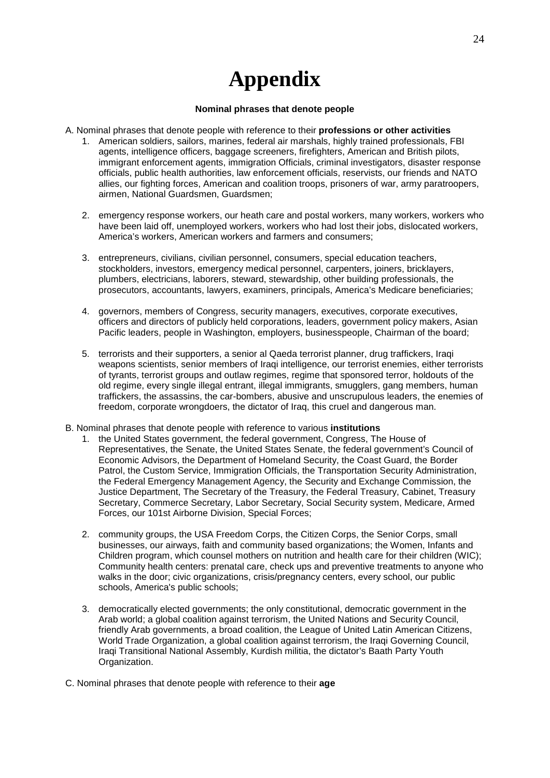# **Appendix**

#### **Nominal phrases that denote people**

- <span id="page-23-0"></span>A. Nominal phrases that denote people with reference to their **professions or other activities**
	- 1. American soldiers, sailors, marines, federal air marshals, highly trained professionals, FBI agents, intelligence officers, baggage screeners, firefighters, American and British pilots, immigrant enforcement agents, immigration Officials, criminal investigators, disaster response officials, public health authorities, law enforcement officials, reservists, our friends and NATO allies, our fighting forces, American and coalition troops, prisoners of war, army paratroopers, airmen, National Guardsmen, Guardsmen;
	- 2. emergency response workers, our heath care and postal workers, many workers, workers who have been laid off, unemployed workers, workers who had lost their jobs, dislocated workers, America's workers, American workers and farmers and consumers;
	- 3. entrepreneurs, civilians, civilian personnel, consumers, special education teachers, stockholders, investors, emergency medical personnel, carpenters, joiners, bricklayers, plumbers, electricians, laborers, steward, stewardship, other building professionals, the prosecutors, accountants, lawyers, examiners, principals, America's Medicare beneficiaries;
	- 4. governors, members of Congress, security managers, executives, corporate executives, officers and directors of publicly held corporations, leaders, government policy makers, Asian Pacific leaders, people in Washington, employers, businesspeople, Chairman of the board;
	- 5. terrorists and their supporters, a senior al Qaeda terrorist planner, drug traffickers, Iraqi weapons scientists, senior members of Iraqi intelligence, our terrorist enemies, either terrorists of tyrants, terrorist groups and outlaw regimes, regime that sponsored terror, holdouts of the old regime, every single illegal entrant, illegal immigrants, smugglers, gang members, human traffickers, the assassins, the car-bombers, abusive and unscrupulous leaders, the enemies of freedom, corporate wrongdoers, the dictator of Iraq, this cruel and dangerous man.
- B. Nominal phrases that denote people with reference to various **institutions** 
	- 1. the United States government, the federal government, Congress, The House of Representatives, the Senate, the United States Senate, the federal government's Council of Economic Advisors, the Department of Homeland Security, the Coast Guard, the Border Patrol, the Custom Service, Immigration Officials, the Transportation Security Administration, the Federal Emergency Management Agency, the Security and Exchange Commission, the Justice Department, The Secretary of the Treasury, the Federal Treasury, Cabinet, Treasury Secretary, Commerce Secretary, Labor Secretary, Social Security system, Medicare, Armed Forces, our 101st Airborne Division, Special Forces;
	- 2. community groups, the USA Freedom Corps, the Citizen Corps, the Senior Corps, small businesses, our airways, faith and community based organizations; the Women, Infants and Children program, which counsel mothers on nutrition and health care for their children (WIC); Community health centers: prenatal care, check ups and preventive treatments to anyone who walks in the door; civic organizations, crisis/pregnancy centers, every school, our public schools, America's public schools;
	- 3. democratically elected governments; the only constitutional, democratic government in the Arab world; a global coalition against terrorism, the United Nations and Security Council, friendly Arab governments, a broad coalition, the League of United Latin American Citizens, World Trade Organization, a global coalition against terrorism, the Iraqi Governing Council, Iraqi Transitional National Assembly, Kurdish militia, the dictator's Baath Party Youth Organization.

C. Nominal phrases that denote people with reference to their **age**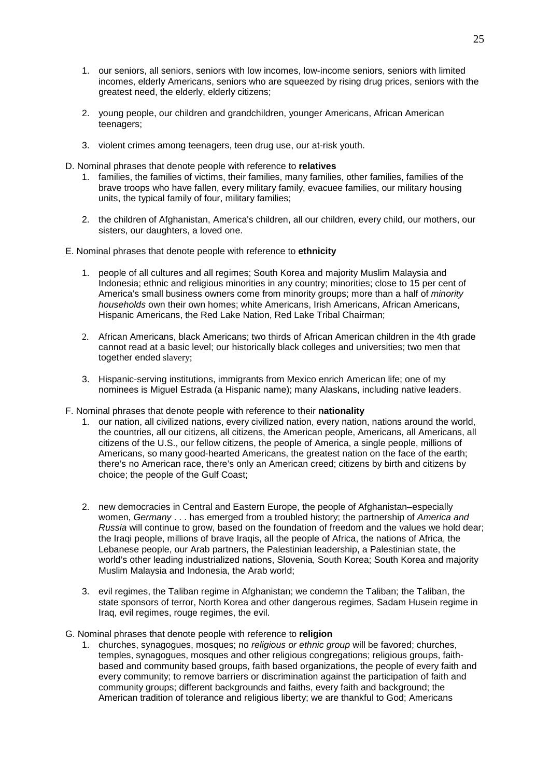- 1. our seniors, all seniors, seniors with low incomes, low-income seniors, seniors with limited incomes, elderly Americans, seniors who are squeezed by rising drug prices, seniors with the greatest need, the elderly, elderly citizens;
- 2. young people, our children and grandchildren, younger Americans, African American teenagers;
- 3. violent crimes among teenagers, teen drug use, our at-risk youth.
- D. Nominal phrases that denote people with reference to **relatives**
	- 1. families, the families of victims, their families, many families, other families, families of the brave troops who have fallen, every military family, evacuee families, our military housing units, the typical family of four, military families;
	- 2. the children of Afghanistan, America's children, all our children, every child, our mothers, our sisters, our daughters, a loved one.
- E. Nominal phrases that denote people with reference to **ethnicity**
	- 1. people of all cultures and all regimes; South Korea and majority Muslim Malaysia and Indonesia; ethnic and religious minorities in any country; minorities; close to 15 per cent of America's small business owners come from minority groups; more than a half of *minority households* own their own homes; white Americans, Irish Americans, African Americans, Hispanic Americans, the Red Lake Nation, Red Lake Tribal Chairman;
	- 2. African Americans, black Americans; two thirds of African American children in the 4th grade cannot read at a basic level; our historically black colleges and universities; two men that together ended slavery;
	- 3. Hispanic-serving institutions, immigrants from Mexico enrich American life; one of my nominees is Miguel Estrada (a Hispanic name); many Alaskans, including native leaders.
- F. Nominal phrases that denote people with reference to their **nationality**
	- 1. our nation, all civilized nations, every civilized nation, every nation, nations around the world, the countries, all our citizens, all citizens, the American people, Americans, all Americans, all citizens of the U.S., our fellow citizens, the people of America, a single people, millions of Americans, so many good-hearted Americans, the greatest nation on the face of the earth; there's no American race, there's only an American creed; citizens by birth and citizens by choice; the people of the Gulf Coast;
	- 2. new democracies in Central and Eastern Europe, the people of Afghanistan–especially women, *Germany* . . . has emerged from a troubled history; the partnership of *America and Russia* will continue to grow, based on the foundation of freedom and the values we hold dear; the Iraqi people, millions of brave Iraqis, all the people of Africa, the nations of Africa, the Lebanese people, our Arab partners, the Palestinian leadership, a Palestinian state, the world's other leading industrialized nations, Slovenia, South Korea; South Korea and majority Muslim Malaysia and Indonesia, the Arab world;
	- 3. evil regimes, the Taliban regime in Afghanistan; we condemn the Taliban; the Taliban, the state sponsors of terror, North Korea and other dangerous regimes, Sadam Husein regime in Iraq, evil regimes, rouge regimes, the evil.
- G. Nominal phrases that denote people with reference to **religion**
	- 1. churches, synagogues, mosques; no *religious or ethnic group* will be favored; churches, temples, synagogues, mosques and other religious congregations; religious groups, faithbased and community based groups, faith based organizations, the people of every faith and every community; to remove barriers or discrimination against the participation of faith and community groups; different backgrounds and faiths, every faith and background; the American tradition of tolerance and religious liberty; we are thankful to God; Americans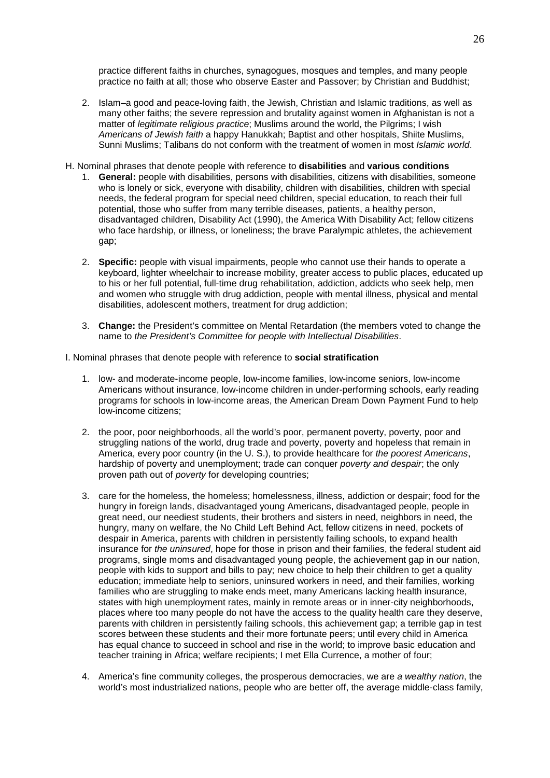practice different faiths in churches, synagogues, mosques and temples, and many people practice no faith at all; those who observe Easter and Passover; by Christian and Buddhist;

- 2. Islam–a good and peace-loving faith, the Jewish, Christian and Islamic traditions, as well as many other faiths; the severe repression and brutality against women in Afghanistan is not a matter of *legitimate religious practice*; Muslims around the world, the Pilgrims; I wish *Americans of Jewish faith* a happy Hanukkah; Baptist and other hospitals, Shiite Muslims, Sunni Muslims; Talibans do not conform with the treatment of women in most *Islamic world*.
- H. Nominal phrases that denote people with reference to **disabilities** and **various conditions**
	- 1. **General:** people with disabilities, persons with disabilities, citizens with disabilities, someone who is lonely or sick, everyone with disability, children with disabilities, children with special needs, the federal program for special need children, special education, to reach their full potential, those who suffer from many terrible diseases, patients, a healthy person, disadvantaged children, Disability Act (1990), the America With Disability Act; fellow citizens who face hardship, or illness, or loneliness; the brave Paralympic athletes, the achievement gap;
	- 2. **Specific:** people with visual impairments, people who cannot use their hands to operate a keyboard, lighter wheelchair to increase mobility, greater access to public places, educated up to his or her full potential, full-time drug rehabilitation, addiction, addicts who seek help, men and women who struggle with drug addiction, people with mental illness, physical and mental disabilities, adolescent mothers, treatment for drug addiction;
	- 3. **Change:** the President's committee on Mental Retardation (the members voted to change the name to *the President's Committee for people with Intellectual Disabilities*.

I. Nominal phrases that denote people with reference to **social stratification**

- 1. low- and moderate-income people, low-income families, low-income seniors, low-income Americans without insurance, low-income children in under-performing schools, early reading programs for schools in low-income areas, the American Dream Down Payment Fund to help low-income citizens;
- 2. the poor, poor neighborhoods, all the world's poor, permanent poverty, poverty, poor and struggling nations of the world, drug trade and poverty, poverty and hopeless that remain in America, every poor country (in the U. S.), to provide healthcare for *the poorest Americans*, hardship of poverty and unemployment; trade can conquer *poverty and despair*; the only proven path out of *poverty* for developing countries;
- 3. care for the homeless, the homeless; homelessness, illness, addiction or despair; food for the hungry in foreign lands, disadvantaged young Americans, disadvantaged people, people in great need, our neediest students, their brothers and sisters in need, neighbors in need, the hungry, many on welfare, the No Child Left Behind Act, fellow citizens in need, pockets of despair in America, parents with children in persistently failing schools, to expand health insurance for *the uninsured*, hope for those in prison and their families, the federal student aid programs, single moms and disadvantaged young people, the achievement gap in our nation, people with kids to support and bills to pay; new choice to help their children to get a quality education; immediate help to seniors, uninsured workers in need, and their families, working families who are struggling to make ends meet, many Americans lacking health insurance, states with high unemployment rates, mainly in remote areas or in inner-city neighborhoods, places where too many people do not have the access to the quality health care they deserve, parents with children in persistently failing schools, this achievement gap; a terrible gap in test scores between these students and their more fortunate peers; until every child in America has equal chance to succeed in school and rise in the world; to improve basic education and teacher training in Africa; welfare recipients; I met Ella Currence, a mother of four;
- 4. America's fine community colleges, the prosperous democracies, we are *a wealthy nation*, the world's most industrialized nations, people who are better off, the average middle-class family,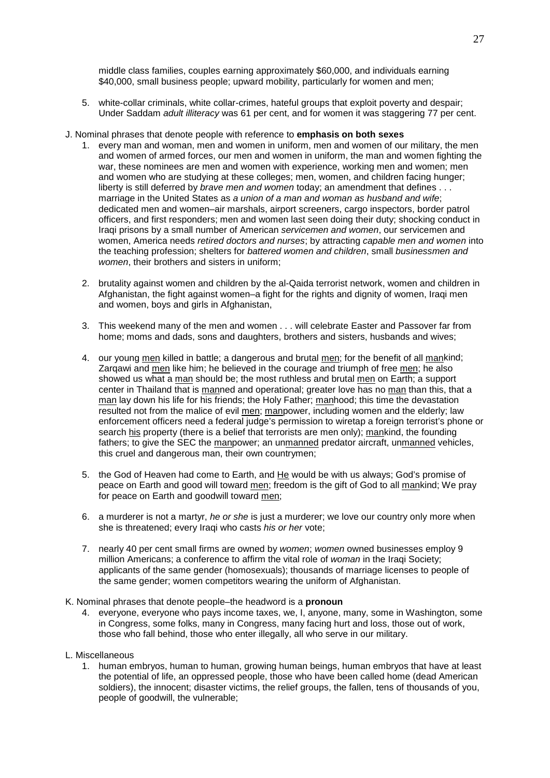middle class families, couples earning approximately \$60,000, and individuals earning \$40,000, small business people; upward mobility, particularly for women and men;

- 5. white-collar criminals, white collar-crimes, hateful groups that exploit poverty and despair; Under Saddam *adult illiteracy* was 61 per cent, and for women it was staggering 77 per cent.
- J. Nominal phrases that denote people with reference to **emphasis on both sexes**
	- 1. every man and woman, men and women in uniform, men and women of our military, the men and women of armed forces, our men and women in uniform, the man and women fighting the war, these nominees are men and women with experience, working men and women; men and women who are studying at these colleges; men, women, and children facing hunger; liberty is still deferred by *brave men and women* today; an amendment that defines . . . marriage in the United States as *a union of a man and woman as husband and wife*; dedicated men and women–air marshals, airport screeners, cargo inspectors, border patrol officers, and first responders; men and women last seen doing their duty; shocking conduct in Iraqi prisons by a small number of American *servicemen and women*, our servicemen and women, America needs *retired doctors and nurses*; by attracting *capable men and women* into the teaching profession; shelters for *battered women and children*, small *businessmen and women*, their brothers and sisters in uniform;
	- 2. brutality against women and children by the al-Qaida terrorist network, women and children in Afghanistan, the fight against women–a fight for the rights and dignity of women, Iraqi men and women, boys and girls in Afghanistan,
	- 3. This weekend many of the men and women . . . will celebrate Easter and Passover far from home; moms and dads, sons and daughters, brothers and sisters, husbands and wives;
	- 4. our young men killed in battle; a dangerous and brutal men; for the benefit of all mankind; Zarqawi and men like him; he believed in the courage and triumph of free men; he also showed us what a man should be; the most ruthless and brutal men on Earth; a support center in Thailand that is manned and operational; greater love has no man than this, that a man lay down his life for his friends; the Holy Father; manhood; this time the devastation resulted not from the malice of evil men; manpower, including women and the elderly; law enforcement officers need a federal judge's permission to wiretap a foreign terrorist's phone or search his property (there is a belief that terrorists are men only); mankind, the founding fathers; to give the SEC the manpower; an unmanned predator aircraft, unmanned vehicles, this cruel and dangerous man, their own countrymen;
	- 5. the God of Heaven had come to Earth, and He would be with us always; God's promise of peace on Earth and good will toward men; freedom is the gift of God to all mankind; We pray for peace on Earth and goodwill toward men;
	- 6. a murderer is not a martyr, *he or she* is just a murderer; we love our country only more when she is threatened; every Iraqi who casts *his or her* vote;
	- 7. nearly 40 per cent small firms are owned by *women*; *women* owned businesses employ 9 million Americans; a conference to affirm the vital role of *woman* in the Iraqi Society; applicants of the same gender (homosexuals); thousands of marriage licenses to people of the same gender; women competitors wearing the uniform of Afghanistan.
- K. Nominal phrases that denote people–the headword is a **pronoun**
	- 4. everyone, everyone who pays income taxes, we, I, anyone, many, some in Washington, some in Congress, some folks, many in Congress, many facing hurt and loss, those out of work, those who fall behind, those who enter illegally, all who serve in our military.
- L. Miscellaneous
	- 1. human embryos, human to human, growing human beings, human embryos that have at least the potential of life, an oppressed people, those who have been called home (dead American soldiers), the innocent; disaster victims, the relief groups, the fallen, tens of thousands of you, people of goodwill, the vulnerable;